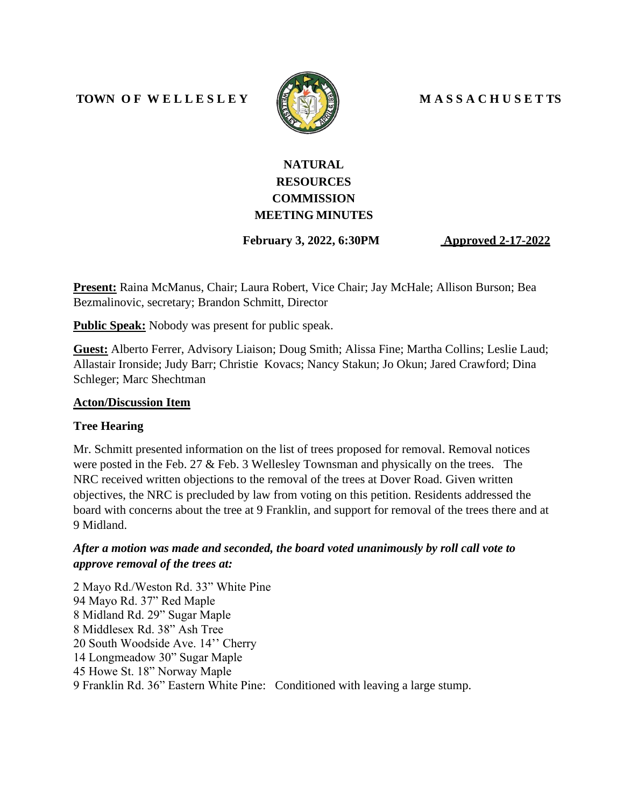#### **TOWN O F W E L L E S L E Y M A S S A C H U S E T TS**



# **NATURAL RESOURCES COMMISSION MEETING MINUTES**

 **February 3, 2022, 6:30PM Approved 2-17-2022**

**Present:** Raina McManus, Chair; Laura Robert, Vice Chair; Jay McHale; Allison Burson; Bea Bezmalinovic, secretary; Brandon Schmitt, Director

**Public Speak:** Nobody was present for public speak.

**Guest:** Alberto Ferrer, Advisory Liaison; Doug Smith; Alissa Fine; Martha Collins; Leslie Laud; Allastair Ironside; Judy Barr; Christie Kovacs; Nancy Stakun; Jo Okun; Jared Crawford; Dina Schleger; Marc Shechtman

#### **Acton/Discussion Item**

#### **Tree Hearing**

Mr. Schmitt presented information on the list of trees proposed for removal. Removal notices were posted in the Feb. 27 & Feb. 3 Wellesley Townsman and physically on the trees. The NRC received written objections to the removal of the trees at Dover Road. Given written objectives, the NRC is precluded by law from voting on this petition. Residents addressed the board with concerns about the tree at 9 Franklin, and support for removal of the trees there and at 9 Midland.

### *After a motion was made and seconded, the board voted unanimously by roll call vote to approve removal of the trees at:*

2 Mayo Rd./Weston Rd. 33" White Pine 94 Mayo Rd. 37" Red Maple 8 Midland Rd. 29" Sugar Maple 8 Middlesex Rd. 38" Ash Tree 20 South Woodside Ave. 14'' Cherry 14 Longmeadow 30" Sugar Maple 45 Howe St. 18" Norway Maple 9 Franklin Rd. 36" Eastern White Pine: Conditioned with leaving a large stump.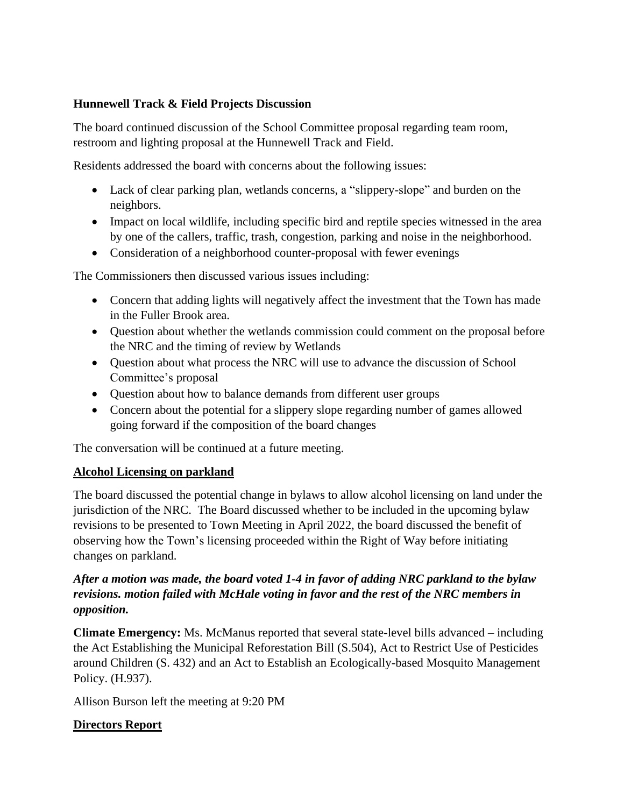#### **Hunnewell Track & Field Projects Discussion**

The board continued discussion of the School Committee proposal regarding team room, restroom and lighting proposal at the Hunnewell Track and Field.

Residents addressed the board with concerns about the following issues:

- Lack of clear parking plan, wetlands concerns, a "slippery-slope" and burden on the neighbors.
- Impact on local wildlife, including specific bird and reptile species witnessed in the area by one of the callers, traffic, trash, congestion, parking and noise in the neighborhood.
- Consideration of a neighborhood counter-proposal with fewer evenings

The Commissioners then discussed various issues including:

- Concern that adding lights will negatively affect the investment that the Town has made in the Fuller Brook area.
- Question about whether the wetlands commission could comment on the proposal before the NRC and the timing of review by Wetlands
- Question about what process the NRC will use to advance the discussion of School Committee's proposal
- Question about how to balance demands from different user groups
- Concern about the potential for a slippery slope regarding number of games allowed going forward if the composition of the board changes

The conversation will be continued at a future meeting.

#### **Alcohol Licensing on parkland**

The board discussed the potential change in bylaws to allow alcohol licensing on land under the jurisdiction of the NRC. The Board discussed whether to be included in the upcoming bylaw revisions to be presented to Town Meeting in April 2022, the board discussed the benefit of observing how the Town's licensing proceeded within the Right of Way before initiating changes on parkland.

## *After a motion was made, the board voted 1-4 in favor of adding NRC parkland to the bylaw revisions. motion failed with McHale voting in favor and the rest of the NRC members in opposition.*

**Climate Emergency:** Ms. McManus reported that several state-level bills advanced – including the Act Establishing the Municipal Reforestation Bill (S.504), Act to Restrict Use of Pesticides around Children (S. 432) and an Act to Establish an Ecologically-based Mosquito Management Policy. (H.937).

Allison Burson left the meeting at 9:20 PM

## **Directors Report**